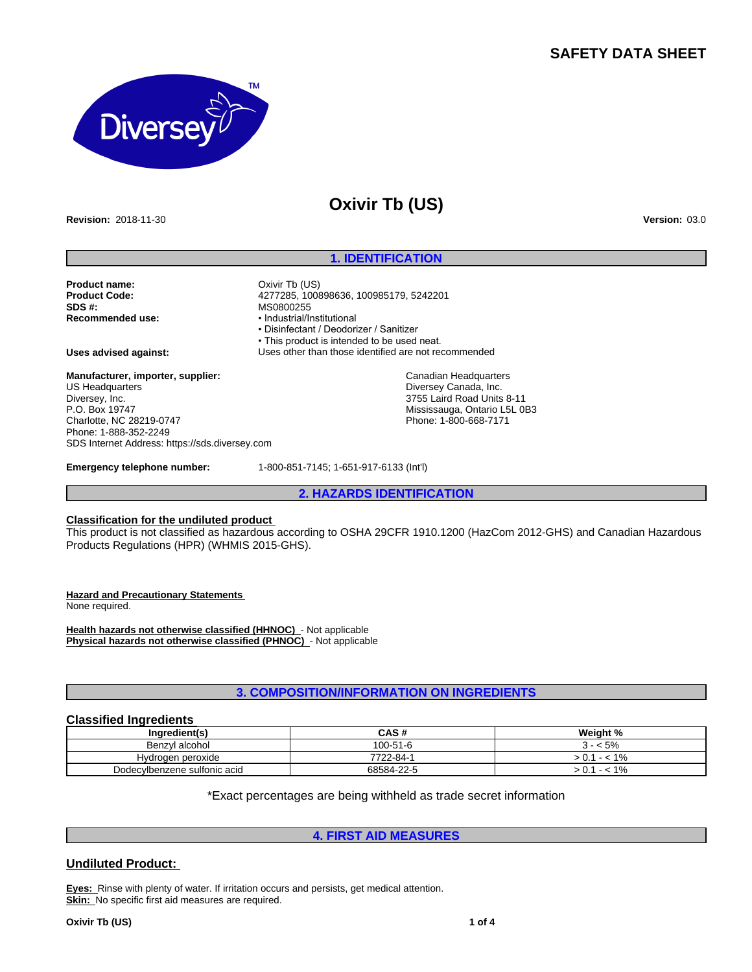## **SAFETY DATA SHEET**



# **Oxivir Tb (US)**

**Revision:** 2018-11-30 **Version:** 03.0

### **1. IDENTIFICATION**

**Product name:** Oxivir Tb (US)<br> **Product Code:** 277285.1008 **Product Code:** 4277285, 100898636, 100985179, 5242201 **SDS #:**<br> **Recommended use:**<br> **Recommended use:**<br> **example:**<br> **example:** 

**Recommended use:** •Industrial/Institutional •Disinfectant/Deodorizer/Sanitizer • This product is intended to be used neat. **Uses advised against:** Uses other than those identified are not recommended

> Canadian Headquarters Diversey Canada, Inc. 3755 Laird Road Units 8-11 Mississauga, Ontario L5L 0B3 Phone: 1-800-668-7171

**Manufacturer, importer, supplier:** US Headquarters Diversey, Inc. P.O. Box 19747 Charlotte, NC 28219-0747 Phone: 1-888-352-2249 SDS Internet Address: https://sds.diversey.com

**Emergency telephone number:** 1-800-851-7145; 1-651-917-6133 (Int'l)

**2. HAZARDS IDENTIFICATION**

### **Classification for the undiluted product**

This product is not classified as hazardous according to OSHA 29CFR 1910.1200 (HazCom 2012-GHS) and Canadian Hazardous Products Regulations (HPR) (WHMIS 2015-GHS).

**Hazard and Precautionary Statements** 

None required.

**Health hazards not otherwise classified (HHNOC)** - Not applicable **Physical hazards not otherwise classified (PHNOC)** - Not applicable

### **3. COMPOSITION/INFORMATION ON INGREDIENTS**

### **Classified Ingredients**

| Ingredient(s)                | CAS#       | Weight %           |
|------------------------------|------------|--------------------|
| Benzvl alcohol               | 100-51-6   | $< 5\%$            |
| Hydrogen peroxide            | 7722-84-1  | $1\%$<br>- -<br>v. |
| Dodecylbenzene sulfonic acid | 68584-22-5 | 1%<br>- - -        |

\*Exact percentages are being withheld as trade secret information

### **4. FIRST AID MEASURES**

### **Undiluted Product:**

**Eyes:** Rinse with plenty of water. If irritation occurs and persists, get medical attention. **Skin:** No specific first aid measures are required.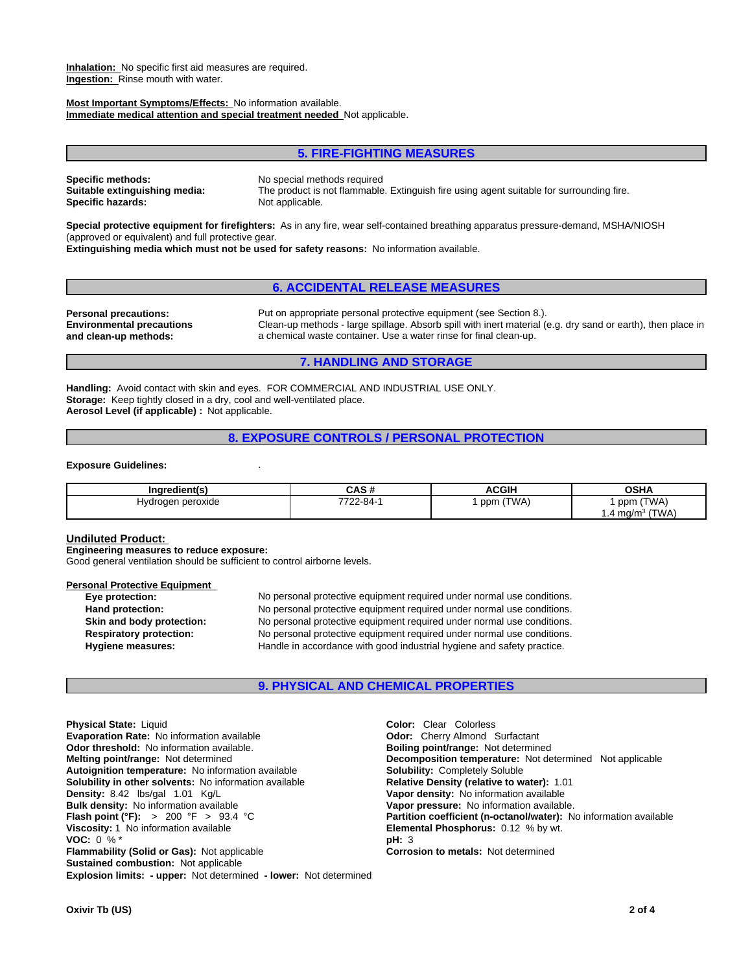**Inhalation:** No specific first aid measures are required. **Ingestion:** Rinse mouth with water.

**Most Important Symptoms/Effects:** No information available. **Immediate medical attention and special treatment needed** Not applicable.

#### **5. FIRE-FIGHTING MEASURES**

**Specific methods:** No special methods required **Specific hazards:** 

**Suitable extinguishing media:** The product is not flammable. Extinguish fire using agent suitable for surrounding fire.

**Special protective equipment for firefighters:** As in any fire, wear self-contained breathing apparatus pressure-demand, MSHA/NIOSH (approved or equivalent) and full protective gear.

**Extinguishing media which must not be used for safety reasons:** No information available.

### **6. ACCIDENTAL RELEASE MEASURES**

**Environmental precautions and clean-up methods:**

**Personal precautions:** Put on appropriate personal protective equipment (see Section 8.). Clean-up methods - large spillage. Absorb spill with inert material (e.g. dry sand or earth), then place in a chemical waste container. Use a water rinse for final clean-up.

#### **7. HANDLING AND STORAGE**

**Handling:** Avoid contact with skin and eyes. FOR COMMERCIAL AND INDUSTRIAL USE ONLY. **Storage:** Keep tightly closed in a dry, cool and well-ventilated place. **Aerosol Level (if applicable) :** Not applicable.

### **8. EXPOSURE CONTROLS / PERSONAL PROTECTION**

#### **Exposure Guidelines:** .

| Ingredient(s)     | .<br>vฅว # | <b>ACGIH</b> | <b>OSHA</b>                                  |
|-------------------|------------|--------------|----------------------------------------------|
| Hydrogen peroxide | 7722-84-   | (TWA)<br>ppm | (TWA<br>ppm                                  |
|                   |            |              | (TWA)<br>4 ma/m $^3$<br>.<br>$\cdot$ $\cdot$ |

#### **Undiluted Product:**

**Engineering measures to reduce exposure:**

Good general ventilation should be sufficient to control airborne levels.

#### **Personal Protective Equipment**

**Eye protection:** No personal protective equipment required under normal use conditions. **Hand protection:** No personal protective equipment required under normal use conditions. **Skin and body protection:** No personal protective equipment required under normal use conditions. **Respiratory protection:** No personal protective equipment required under normal use conditions. **Hygiene measures:** Handle in accordance with good industrial hygiene and safety practice.

#### **9. PHYSICAL AND CHEMICAL PROPERTIES**

**Explosion limits: - upper:** Not determined **- lower:** Not determined **Physical State:** Liquid **Coloring Color:** Clear Colorless<br> **Evaporation Rate:** No information available **Coloring Color:** Cherry Almond Surfactant **Evaporation Rate:** No information available **Odor:** Cherry Almond Surfactant **Odor: Cherry Almond Surfactant Odor: Cherry Almond Surfactant Odor: Cherry Almond Surfactant Odor: Cherry Almond Surfactant Odo Odor threshold:** No information available. **Melting point/range:** Not determined **Decomposition temperature:** Not determined Not applicable **Autoignition temperature:** No information available **Solubility:** Completely Soluble **Solubility in other solvents: No information available Density:** 8.42 lbs/gal 1.01 Kg/L **Vapor density:** No information available **Bulk density:** No information available **Vapor pressure:** No information available.<br> **Flash point (°F):** > 200 °F > 93.4 °C<br> **Partition coefficient (n-octanol/water):** N **Viscosity:** 1 No information available **Elemental Phosphorus:** 0.12 % by wt. **VOC:** 0 % \* **pH:** 3 **Flammability (Solid or Gas):** Not applicable **Corrosion to metals:** Not determined **Sustained combustion:** Not applicable

**Partition coefficient (n-octanol/water):** No information available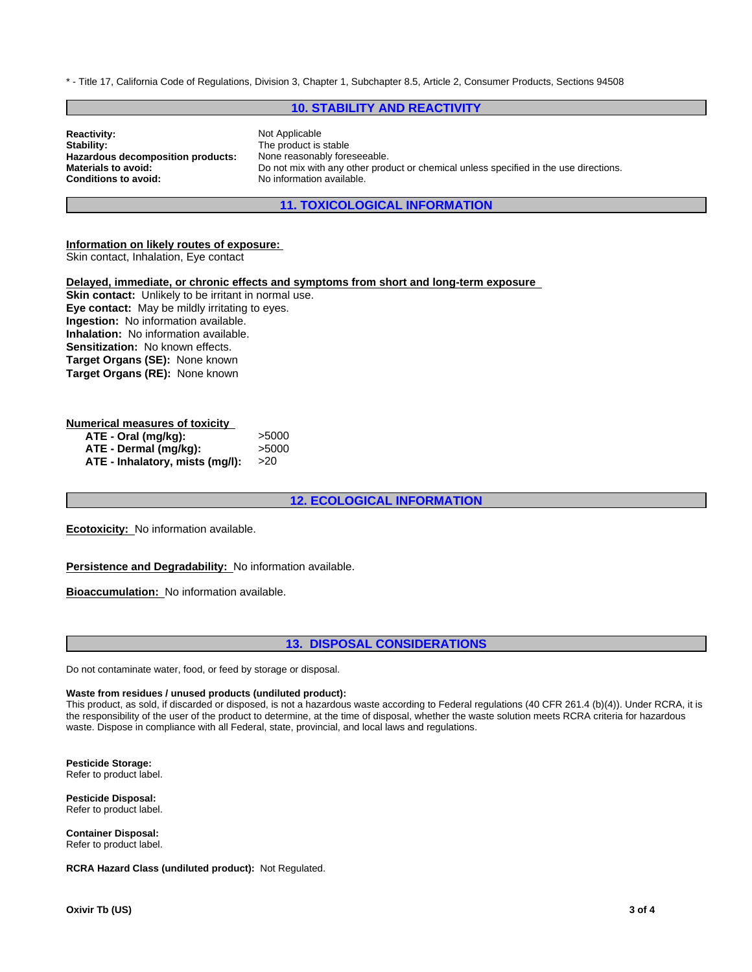\* - Title 17, California Code of Regulations, Division 3, Chapter 1, Subchapter 8.5, Article 2, Consumer Products, Sections 94508

### **10. STABILITY AND REACTIVITY**

| <b>Reactivity:</b>                | Not Applicable                                                                        |
|-----------------------------------|---------------------------------------------------------------------------------------|
| Stability:                        | The product is stable                                                                 |
| Hazardous decomposition products: | None reasonably foreseeable.                                                          |
| <b>Materials to avoid:</b>        | Do not mix with any other product or chemical unless specified in the use directions. |
| <b>Conditions to avoid:</b>       | No information available.                                                             |

**11. TOXICOLOGICAL INFORMATION**

#### **Information on likely routes of exposure:**

Skin contact, Inhalation, Eye contact

### **Delayed, immediate, or chronic effects and symptoms from short and long-term exposure**

**Skin contact:** Unlikely to be irritant in normal use. **Eye contact:** May be mildly irritating to eyes. **Ingestion:** No information available. **Inhalation:** No information available. **Sensitization:** No known effects. **Target Organs (SE):** None known **Target Organs (RE):** None known

### **Numerical measures of toxicity**

| ATE - Oral (mg/kg):             | >5000 |
|---------------------------------|-------|
| ATE - Dermal (mg/kg):           | >5000 |
| ATE - Inhalatory, mists (mg/l): | >20   |

### **12. ECOLOGICAL INFORMATION**

**Ecotoxicity:** No information available.

#### **Persistence and Degradability:** No information available.

**Bioaccumulation:** No information available.

### **13. DISPOSAL CONSIDERATIONS**

Do not contaminate water, food, or feed by storage or disposal.

#### **Waste from residues / unused products (undiluted product):**

This product, as sold, if discarded or disposed, is not a hazardous waste according to Federal regulations (40 CFR 261.4 (b)(4)). Under RCRA, it is the responsibility of the user of the product to determine, at the time of disposal, whether the waste solution meets RCRA criteria for hazardous waste. Dispose in compliance with all Federal, state, provincial, and local laws and regulations.

**Pesticide Storage:** Refer to product label.

**Pesticide Disposal:** Refer to product label.

**Container Disposal:** Refer to product label.

**RCRA Hazard Class (undiluted product):** Not Regulated.